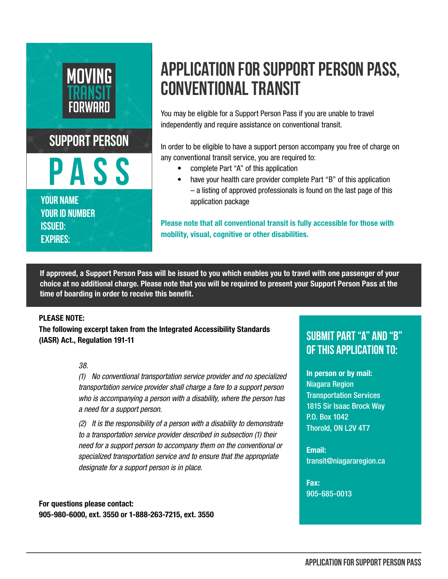

# **APPLICATION FOR SUPPORT PERSON PASS, CONVENTIONAL TRANSIT**

You may be eligible for a Support Person Pass if you are unable to travel independently and require assistance on conventional transit.

In order to be eligible to have a support person accompany you free of charge on any conventional transit service, you are required to:

- complete Part "A" of this application
- have your health care provider complete Part "B" of this application – a listing of approved professionals is found on the last page of this application package

Please note that all conventional transit is fully accessible for those with mobility, visual, cognitive or other disabilities.

If approved, a Support Person Pass will be issued to you which enables you to travel with one passenger of your choice at no additional charge. Please note that you will be required to present your Support Person Pass at the time of boarding in order to receive this benefit.

### PLEASE NOTE:

The following excerpt taken from the Integrated Accessibility Standards (IASR) Act., Regulation 191-11

#### *38.*

*(1) No conventional transportation service provider and no specialized transportation service provider shall charge a fare to a support person who is accompanying a person with a disability, where the person has a need for a support person.*

*(2) It is the responsibility of a person with a disability to demonstrate to a transportation service provider described in subsection (1) their need for a support person to accompany them on the conventional or specialized transportation service and to ensure that the appropriate designate for a support person is in place.*

For questions please contact: 905-980-6000, ext. 3550 or 1-888-263-7215, ext. 3550

## **Submit Part "A" and "B" of this application to:**

In person or by mail: Niagara Region Transportation Services 1815 Sir Isaac Brock Way P.O. Box 1042 Thorold, ON L2V 4T7

Email: transit@niagararegion.ca

Fax: 905-685-0013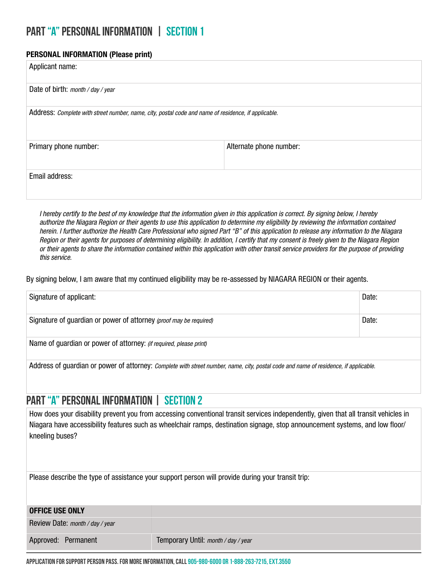### **PART "A" Personal Information | Section 1**

### PERSONAL INFORMATION (Please print)

| Applicant name:                                                                                     |                         |  |  |
|-----------------------------------------------------------------------------------------------------|-------------------------|--|--|
| Date of birth: month / day / year                                                                   |                         |  |  |
| Address: Complete with street number, name, city, postal code and name of residence, if applicable. |                         |  |  |
| Primary phone number:                                                                               | Alternate phone number: |  |  |
| Email address:                                                                                      |                         |  |  |

*I hereby certify to the best of my knowledge that the information given in this application is correct. By signing below, I hereby authorize the Niagara Region or their agents to use this application to determine my eligibility by reviewing the information contained herein. I further authorize the Health Care Professional who signed Part "B" of this application to release any information to the Niagara Region or their agents for purposes of determining eligibility. In addition, I certify that my consent is freely given to the Niagara Region or their agents to share the information contained within this application with other transit service providers for the purpose of providing this service.*

By signing below, I am aware that my continued eligibility may be re-assessed by NIAGARA REGION or their agents.

| Signature of applicant:                                                                                                              | Date: |
|--------------------------------------------------------------------------------------------------------------------------------------|-------|
| Signature of guardian or power of attorney (proof may be required)                                                                   | Date: |
| Name of guardian or power of attorney: (if required, please print)                                                                   |       |
| Address of quardian or power of attorney: Complete with street number, name, city, postal code and name of residence, if applicable. |       |

### **PART "A" Personal Information | Section 2**

How does your disability prevent you from accessing conventional transit services independently, given that all transit vehicles in Niagara have accessibility features such as wheelchair ramps, destination signage, stop announcement systems, and low floor/ kneeling buses?

Please describe the type of assistance your support person will provide during your transit trip:

| <b>OFFICE USE ONLY</b>          |                                     |
|---------------------------------|-------------------------------------|
| Review Date: month / day / year |                                     |
| Approved: Permanent             | Temporary Until: month / day / year |

**APPLICATION FOR SUPPORT PERSON PASS. For more information, call 905-980-6000 or 1-888-263-7215, ext.3550**